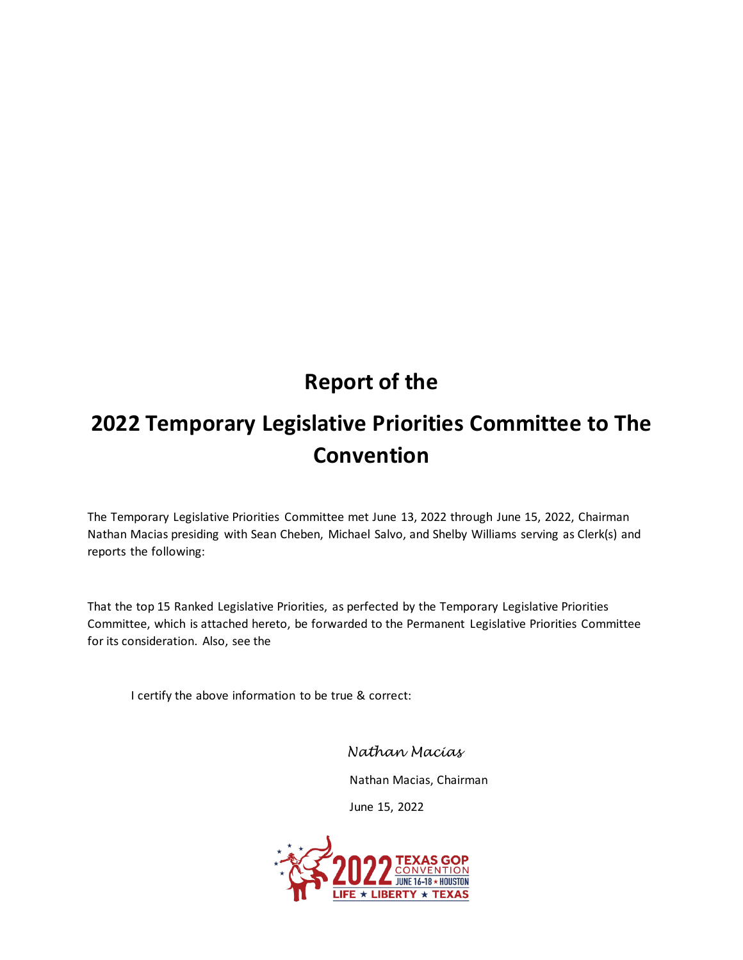# **Report of the**

# **2022 Temporary Legislative Priorities Committee to The Convention**

The Temporary Legislative Priorities Committee met June 13, 2022 through June 15, 2022, Chairman Nathan Macias presiding with Sean Cheben, Michael Salvo, and Shelby Williams serving as Clerk(s) and reports the following:

That the top 15 Ranked Legislative Priorities, as perfected by the Temporary Legislative Priorities Committee, which is attached hereto, be forwarded to the Permanent Legislative Priorities Committee for its consideration. Also, see the

I certify the above information to be true & correct:

*Nathan Macias*

Nathan Macias, Chairman

June 15, 2022

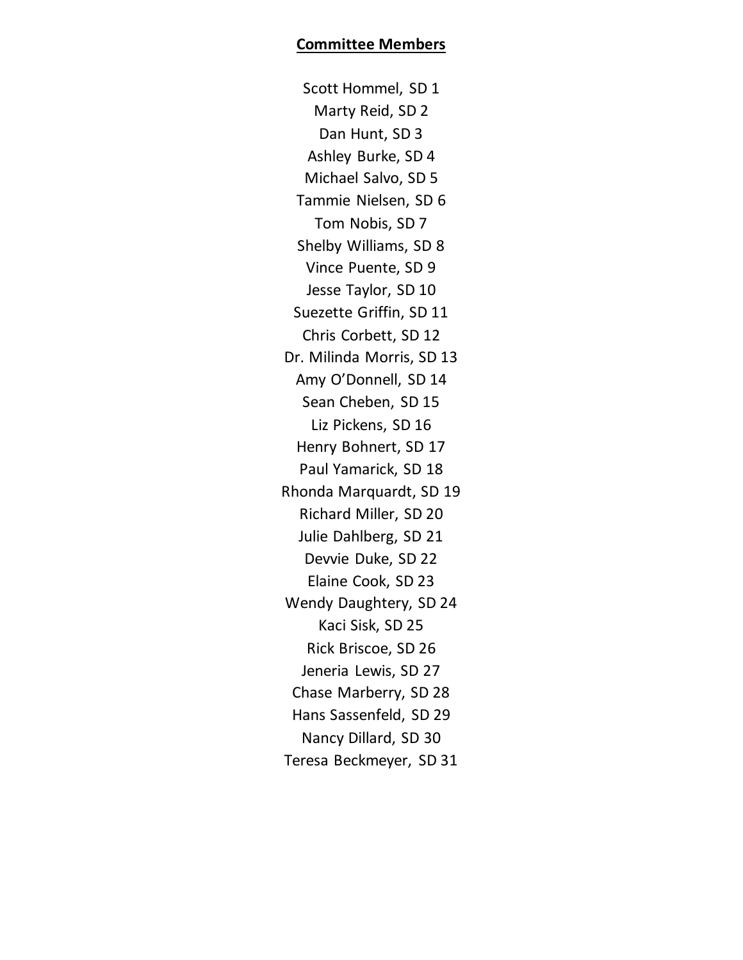Scott Hommel, SD 1 Marty Reid, SD 2 Dan Hunt, SD 3 Ashley Burke, SD 4 Michael Salvo, SD 5 Tammie Nielsen, SD 6 Tom Nobis, SD 7 Shelby Williams, SD 8 Vince Puente, SD 9 Jesse Taylor, SD 10 Suezette Griffin, SD 11 Chris Corbett, SD 12 Dr. Milinda Morris, SD 13 Amy O'Donnell, SD 14 Sean Cheben, SD 15 Liz Pickens, SD 16 Henry Bohnert, SD 17 Paul Yamarick, SD 18 Rhonda Marquardt, SD 19 Richard Miller, SD 20 Julie Dahlberg, SD 21 Devvie Duke, SD 22 Elaine Cook, SD 23 Wendy Daughtery, SD 24 Kaci Sisk, SD 25 Rick Briscoe, SD 26 Jeneria Lewis, SD 27 Chase Marberry, SD 28 Hans Sassenfeld, SD 29 Nancy Dillard, SD 30 Teresa Beckmeyer, SD 31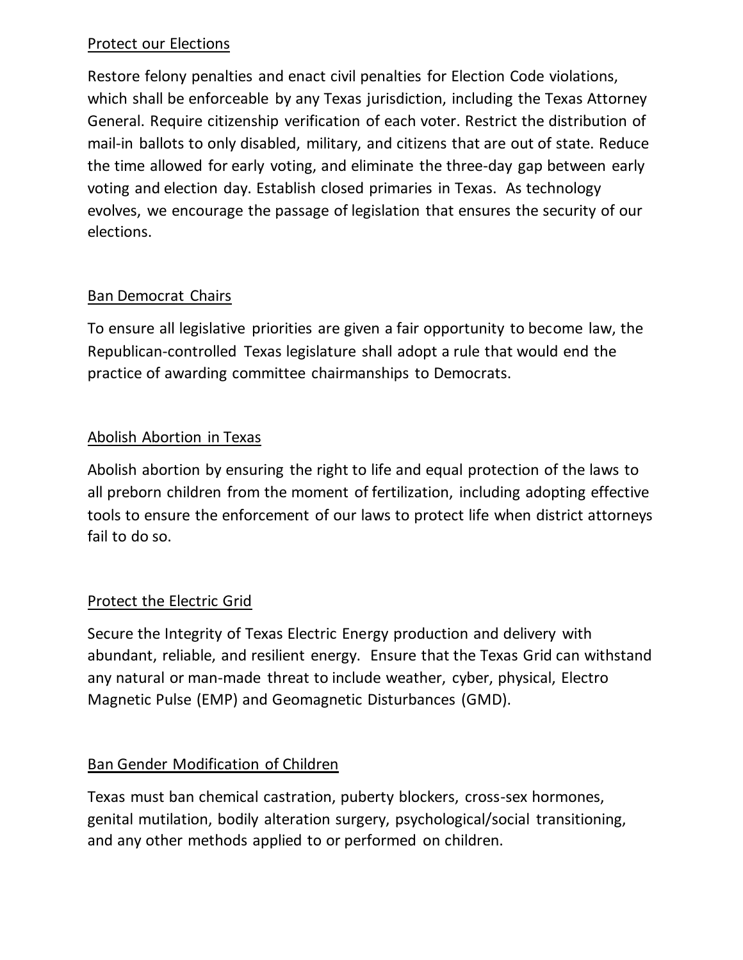#### Protect our Elections

Restore felony penalties and enact civil penalties for Election Code violations, which shall be enforceable by any Texas jurisdiction, including the Texas Attorney General. Require citizenship verification of each voter. Restrict the distribution of mail-in ballots to only disabled, military, and citizens that are out of state. Reduce the time allowed for early voting, and eliminate the three-day gap between early voting and election day. Establish closed primaries in Texas. As technology evolves, we encourage the passage of legislation that ensures the security of our elections.

# Ban Democrat Chairs

To ensure all legislative priorities are given a fair opportunity to become law, the Republican-controlled Texas legislature shall adopt a rule that would end the practice of awarding committee chairmanships to Democrats.

# Abolish Abortion in Texas

Abolish abortion by ensuring the right to life and equal protection of the laws to all preborn children from the moment of fertilization, including adopting effective tools to ensure the enforcement of our laws to protect life when district attorneys fail to do so.

#### Protect the Electric Grid

Secure the Integrity of Texas Electric Energy production and delivery with abundant, reliable, and resilient energy. Ensure that the Texas Grid can withstand any natural or man-made threat to include weather, cyber, physical, Electro Magnetic Pulse (EMP) and Geomagnetic Disturbances (GMD).

#### Ban Gender Modification of Children

Texas must ban chemical castration, puberty blockers, cross-sex hormones, genital mutilation, bodily alteration surgery, psychological/social transitioning, and any other methods applied to or performed on children.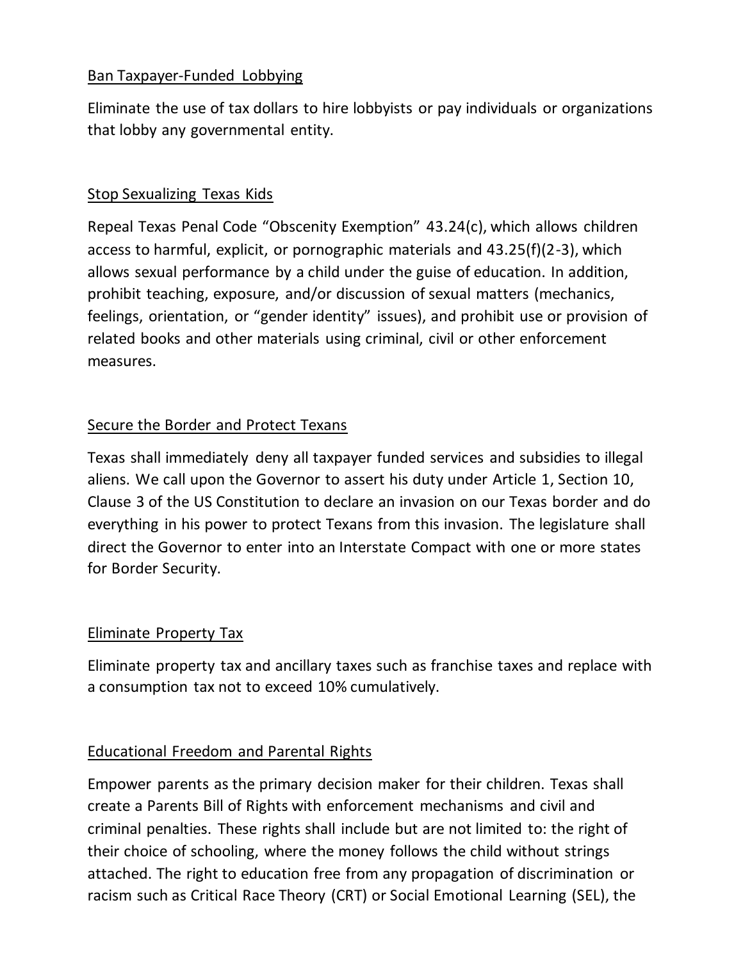# Ban Taxpayer-Funded Lobbying

Eliminate the use of tax dollars to hire lobbyists or pay individuals or organizations that lobby any governmental entity.

#### Stop Sexualizing Texas Kids

Repeal Texas Penal Code "Obscenity Exemption" 43.24(c), which allows children access to harmful, explicit, or pornographic materials and 43.25(f)(2-3), which allows sexual performance by a child under the guise of education. In addition, prohibit teaching, exposure, and/or discussion of sexual matters (mechanics, feelings, orientation, or "gender identity" issues), and prohibit use or provision of related books and other materials using criminal, civil or other enforcement measures.

# Secure the Border and Protect Texans

Texas shall immediately deny all taxpayer funded services and subsidies to illegal aliens. We call upon the Governor to assert his duty under Article 1, Section 10, Clause 3 of the US Constitution to declare an invasion on our Texas border and do everything in his power to protect Texans from this invasion. The legislature shall direct the Governor to enter into an Interstate Compact with one or more states for Border Security.

#### Eliminate Property Tax

Eliminate property tax and ancillary taxes such as franchise taxes and replace with a consumption tax not to exceed 10% cumulatively.

#### Educational Freedom and Parental Rights

Empower parents as the primary decision maker for their children. Texas shall create a Parents Bill of Rights with enforcement mechanisms and civil and criminal penalties. These rights shall include but are not limited to: the right of their choice of schooling, where the money follows the child without strings attached. The right to education free from any propagation of discrimination or racism such as Critical Race Theory (CRT) or Social Emotional Learning (SEL), the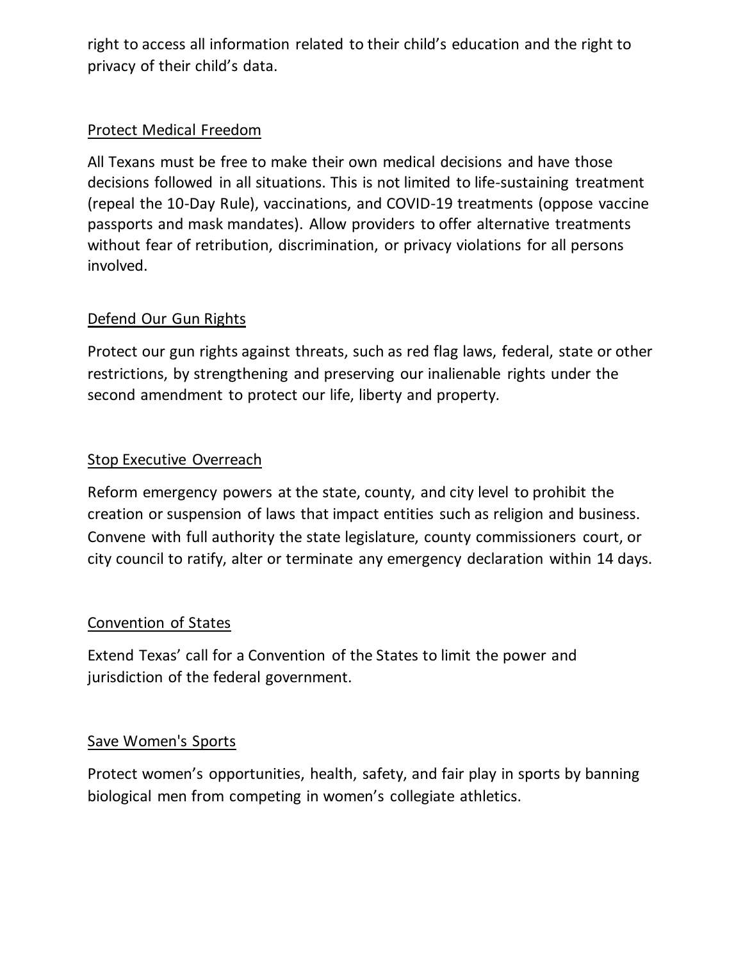right to access all information related to their child's education and the right to privacy of their child's data.

# Protect Medical Freedom

All Texans must be free to make their own medical decisions and have those decisions followed in all situations. This is not limited to life-sustaining treatment (repeal the 10-Day Rule), vaccinations, and COVID-19 treatments (oppose vaccine passports and mask mandates). Allow providers to offer alternative treatments without fear of retribution, discrimination, or privacy violations for all persons involved.

# Defend Our Gun Rights

Protect our gun rights against threats, such as red flag laws, federal, state or other restrictions, by strengthening and preserving our inalienable rights under the second amendment to protect our life, liberty and property.

# Stop Executive Overreach

Reform emergency powers at the state, county, and city level to prohibit the creation or suspension of laws that impact entities such as religion and business. Convene with full authority the state legislature, county commissioners court, or city council to ratify, alter or terminate any emergency declaration within 14 days.

#### Convention of States

Extend Texas' call for a Convention of the States to limit the power and jurisdiction of the federal government.

#### Save Women's Sports

Protect women's opportunities, health, safety, and fair play in sports by banning biological men from competing in women's collegiate athletics.